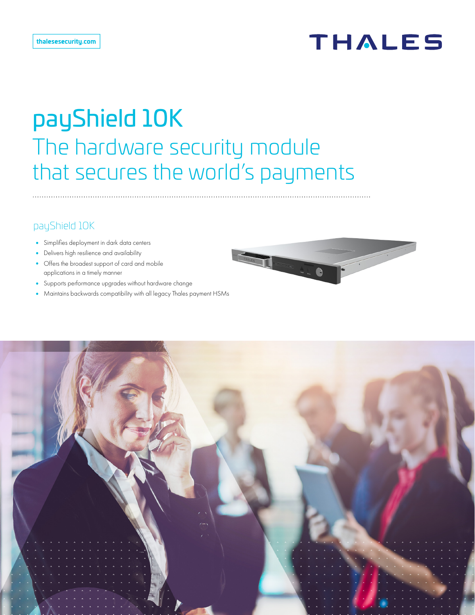# **THALES**

# payShield 10K The hardware security module that secures the world's payments

# payShield 10K

- **•** Simplifies deployment in dark data centers
- **•** Delivers high resilience and availability
- **•** Offers the broadest support of card and mobile applications in a timely manner
- **•** Supports performance upgrades without hardware change
- **•** Maintains backwards compatibility with all legacy Thales payment HSMs